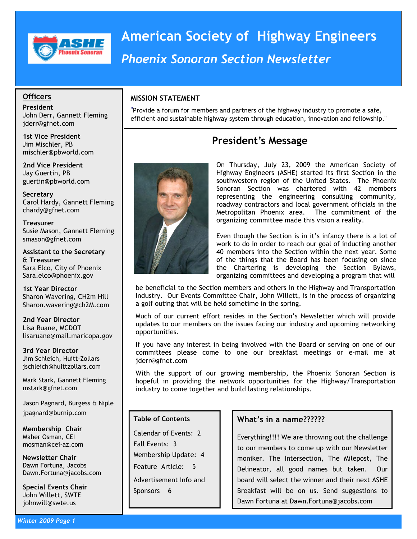

# American Society of Highway Engineers Phoenix Sonoran Section Newsletter

### **Officers**

President John Derr, Gannett Fleming jderr@gfnet.com

1st Vice President Jim Mischler, PB mischler@pbworld.com

2nd Vice President Jay Guertin, PB guertin@pbworld.com

**Secretary** Carol Hardy, Gannett Fleming chardy@gfnet.com

**Treasurer** Susie Mason, Gannett Fleming smason@gfnet.com

Assistant to the Secretary & Treasurer Sara Elco, City of Phoenix Sara.elco@phoenix.gov

1st Year Director Sharon Wavering, CH2m Hill Sharon.wavering@ch2M.com

2nd Year Director Lisa Ruane, MCDOT lisaruane@mail.maricopa.gov

3rd Year Director Jim Schleich, Huitt-Zollars jschleich@huittzollars.com

Mark Stark, Gannett Fleming mstark@gfnet.com

Jason Pagnard, Burgess & Niple jpagnard@burnip.com

Membership Chair Maher Osman, CEI mosman@cei-az.com

Newsletter Chair Dawn Fortuna, Jacobs Dawn.Fortuna@jacobs.com

Special Events Chair John Willett, SWTE johnwill@swte.us

"Provide a forum for members and partners of the highway industry to promote a safe, efficient and sustainable highway system through education, innovation and fellowship."

### President's Message



On Thursday, July 23, 2009 the American Society of Highway Engineers (ASHE) started its first Section in the southwestern region of the United States. The Phoenix Sonoran Section was chartered with 42 members representing the engineering consulting community, roadway contractors and local government officials in the Metropolitan Phoenix area. The commitment of the organizing committee made this vision a reality.

Even though the Section is in it's infancy there is a lot of work to do in order to reach our goal of inducting another 40 members into the Section within the next year. Some of the things that the Board has been focusing on since the Chartering is developing the Section Bylaws, organizing committees and developing a program that will

be beneficial to the Section members and others in the Highway and Transportation Industry. Our Events Committee Chair, John Willett, is in the process of organizing a golf outing that will be held sometime in the spring.

Much of our current effort resides in the Section's Newsletter which will provide updates to our members on the issues facing our industry and upcoming networking opportunities.

If you have any interest in being involved with the Board or serving on one of our committees please come to one our breakfast meetings or e-mail me at jderr@gfnet.com

With the support of our growing membership, the Phoenix Sonoran Section is hopeful in providing the network opportunities for the Highway/Transportation industry to come together and build lasting relationships.

#### Table of Contents

Calendar of Events: 2 Fall Events: 3 Membership Update: 4 Feature Article: 5 Advertisement Info and Sponsors 6

### What's in a name??????

Everything!!!! We are throwing out the challenge to our members to come up with our Newsletter moniker. The Intersection, The Milepost, The Delineator, all good names but taken. Our board will select the winner and their next ASHE Breakfast will be on us. Send suggestions to Dawn Fortuna at Dawn.Fortuna@jacobs.com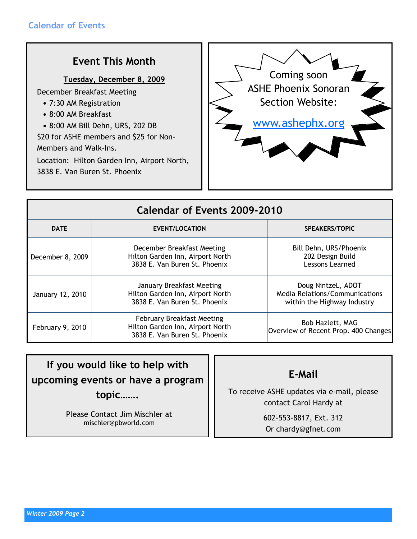# Event This Month

### Tuesday, December 8, 2009

December Breakfast Meeting

- 7:30 AM Registration
- 8:00 AM Breakfast
- 8:00 AM Bill Dehn, URS, 202 DB

\$20 for ASHE members and \$25 for Non-Members and Walk-Ins.

Location: Hilton Garden Inn, Airport North, 3838 E. Van Buren St. Phoenix



| Calendar of Events 2009-2010 |                                                                                                        |                                                                                            |  |  |
|------------------------------|--------------------------------------------------------------------------------------------------------|--------------------------------------------------------------------------------------------|--|--|
| <b>DATE</b>                  | <b>EVENT/LOCATION</b>                                                                                  | <b>SPEAKERS/TOPIC</b>                                                                      |  |  |
| December 8, 2009             | December Breakfast Meeting<br>Hilton Garden Inn, Airport North<br>3838 E. Van Buren St. Phoenix        | Bill Dehn, URS/Phoenix<br>202 Design Build<br>Lessons Learned                              |  |  |
| January 12, 2010             | January Breakfast Meeting<br>Hilton Garden Inn, Airport North<br>3838 E. Van Buren St. Phoenix         | Doug NintzeL, ADOT<br><b>Media Relations/Communications</b><br>within the Highway Industry |  |  |
| February 9, 2010             | <b>February Breakfast Meeting</b><br>Hilton Garden Inn, Airport North<br>3838 E. Van Buren St. Phoenix | Bob Hazlett, MAG<br>Overview of Recent Prop. 400 Changes                                   |  |  |

If you would like to help with upcoming events or have a program topic…….

> Please Contact Jim Mischler at mischler@pbworld.com

E-Mail

To receive ASHE updates via e-mail, please contact Carol Hardy at

> 602-553-8817, Ext. 312 Or chardy@gfnet.com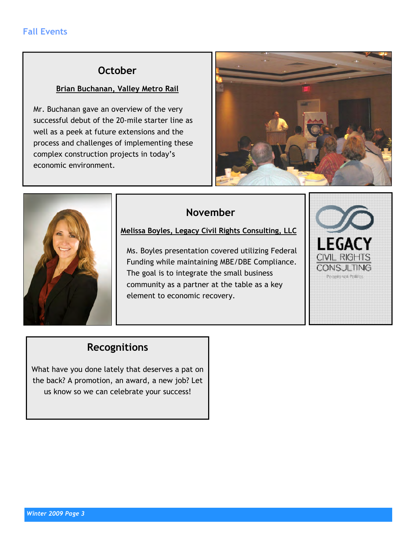### **October**

### Brian Buchanan, Valley Metro Rail

Mr. Buchanan gave an overview of the very successful debut of the 20-mile starter line as well as a peek at future extensions and the process and challenges of implementing these complex construction projects in today's economic environment.





### November

Melissa Boyles, Legacy Civil Rights Consulting, LLC

Ms. Boyles presentation covered utilizing Federal Funding while maintaining MBE/DBE Compliance. The goal is to integrate the small business community as a partner at the table as a key element to economic recovery.



# Recognitions

What have you done lately that deserves a pat on the back? A promotion, an award, a new job? Let us know so we can celebrate your success!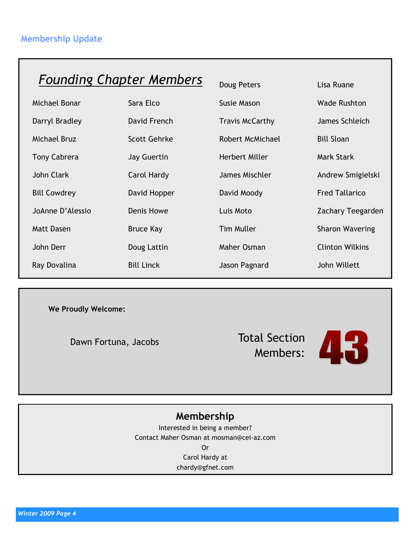# Founding Chapter Members Doug Peters Lisa Ruane

| Michael Bonar       | Sara Elco           | <b>Susie Mason</b>     | <b>Wade Rushton</b>    |
|---------------------|---------------------|------------------------|------------------------|
| Darryl Bradley      | David French        | <b>Travis McCarthy</b> | James Schleich         |
| Michael Bruz        | <b>Scott Gehrke</b> | Robert McMichael       | <b>Bill Sloan</b>      |
| <b>Tony Cabrera</b> | Jay Guertin         | Herbert Miller         | <b>Mark Stark</b>      |
| John Clark          | Carol Hardy         | James Mischler         | Andrew Smigielski      |
| <b>Bill Cowdrey</b> | David Hopper        | David Moody            | <b>Fred Tallarico</b>  |
| JoAnne D'Alessio    | <b>Denis Howe</b>   | Luis Moto              | Zachary Teegarden      |
| <b>Matt Dasen</b>   | <b>Bruce Kay</b>    | <b>Tim Muller</b>      | <b>Sharon Wavering</b> |
| John Derr           | Doug Lattin         | Maher Osman            | <b>Clinton Wilkins</b> |
| Ray Dovalina        | <b>Bill Linck</b>   | Jason Pagnard          | John Willett           |

| Doug Peters             | Lisa Ruane          |
|-------------------------|---------------------|
| Susie Mason             | <b>Wade Rusht</b>   |
| <b>Travis McCarthy</b>  | James Schle         |
| <b>Robert McMichael</b> | <b>Bill Sloan</b>   |
| <b>Herbert Miller</b>   | Mark Stark          |
| James Mischler          | Andrew Sm           |
| David Moody             | <b>Fred Tallari</b> |
| Luis Moto               | Zachary Te          |
| <b>Tim Muller</b>       | <b>Sharon Wav</b>   |
| Maher Osman             | <b>Clinton Will</b> |
| Jason Pagnard           | John Willet         |
|                         |                     |

We Proudly Welcome:

Dawn Fortuna, Jacobs

Total Section Members:



### Membership

Interested in being a member? Contact Maher Osman at mosman@cei-az.com Or Carol Hardy at chardy@gfnet.com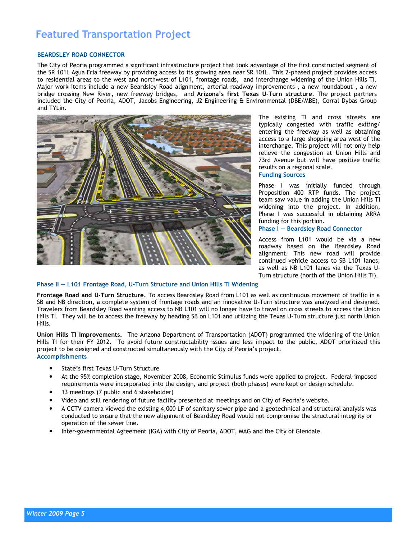# Featured Transportation Project

#### BEARDSLEY ROAD CONNECTOR

The City of Peoria programmed a significant infrastructure project that took advantage of the first constructed segment of the SR 101L Agua Fria freeway by providing access to its growing area near SR 101L. This 2-phased project provides access to residential areas to the west and northwest of L101, frontage roads, and interchange widening of the Union Hills TI. Major work items include a new Beardsley Road alignment, arterial roadway improvements , a new roundabout , a new bridge crossing New River, new freeway bridges, and Arizona's first Texas U-Turn structure. The proiect partners included the City of Peoria, ADOT, Jacobs Engineering, J2 Engineering & Environmental (DBE/MBE), Corral Dybas Group and TYLin.



The existing TI and cross streets are typically congested with traffic exiting/ entering the freeway as well as obtaining access to a large shopping area west of the interchange. This project will not only help relieve the congestion at Union Hills and 73rd Avenue but will have positive traffic results on a regional scale.

#### Funding Sources

Phase I was initially funded through Proposition 400 RTP funds. The project team saw value in adding the Union Hills TI widening into the project. In addition, Phase I was successful in obtaining ARRA funding for this portion.

Phase I — Beardsley Road Connector

Access from L101 would be via a new roadway based on the Beardsley Road alignment. This new road will provide continued vehicle access to SB L101 lanes, as well as NB L101 lanes via the Texas U-Turn structure (north of the Union Hills TI).

#### Phase II — L101 Frontage Road, U-Turn Structure and Union Hills TI Widening

Frontage Road and U-Turn Structure. To access Beardsley Road from L101 as well as continuous movement of traffic in a SB and NB direction, a complete system of frontage roads and an innovative U-Turn structure was analyzed and designed. Travelers from Beardsley Road wanting access to NB L101 will no longer have to travel on cross streets to access the Union Hills TI. They will be to access the freeway by heading SB on L101 and utilizing the Texas U-Turn structure just north Union Hills.

Union Hills TI Improvements. The Arizona Department of Transportation (ADOT) programmed the widening of the Union Hills TI for their FY 2012. To avoid future constructability issues and less impact to the public, ADOT prioritized this project to be designed and constructed simultaneously with the City of Peoria's project. Accomplishments

- State's first Texas U-Turn Structure
- At the 95% completion stage, November 2008, Economic Stimulus funds were applied to project. Federal-imposed requirements were incorporated into the design, and project (both phases) were kept on design schedule.
- 13 meetings (7 public and 6 stakeholder)
- Video and still rendering of future facility presented at meetings and on City of Peoria's website.
- A CCTV camera viewed the existing 4,000 LF of sanitary sewer pipe and a geotechnical and structural analysis was conducted to ensure that the new alignment of Beardsley Road would not compromise the structural integrity or operation of the sewer line.
- Inter-governmental Agreement (IGA) with City of Peoria, ADOT, MAG and the City of Glendale.